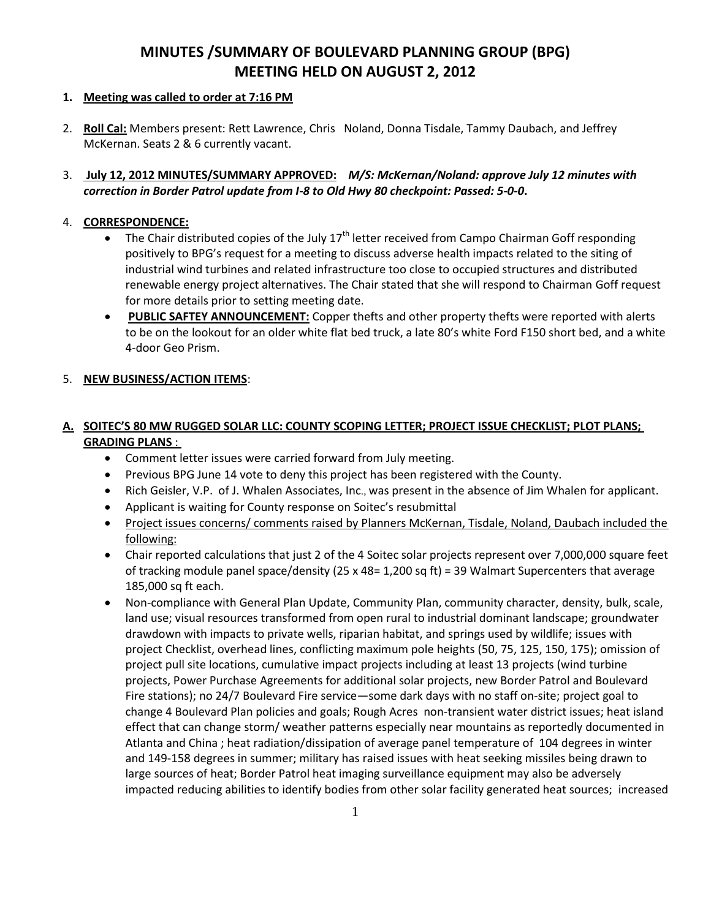# **MINUTES /SUMMARY OF BOULEVARD PLANNING GROUP (BPG) MEETING HELD ON AUGUST 2, 2012**

### **1. Meeting was called to order at 7:16 PM**

- 2. **Roll Cal:** Members present: Rett Lawrence, Chris Noland, Donna Tisdale, Tammy Daubach, and Jeffrey McKernan. Seats 2 & 6 currently vacant.
- 3. **July 12, 2012 MINUTES/SUMMARY APPROVED:** *M/S: McKernan/Noland: approve July 12 minutes with correction in Border Patrol update from I-8 to Old Hwy 80 checkpoint: Passed: 5-0-0***.**

### 4. **CORRESPONDENCE:**

- The Chair distributed copies of the July  $17<sup>th</sup>$  letter received from Campo Chairman Goff responding positively to BPG's request for a meeting to discuss adverse health impacts related to the siting of industrial wind turbines and related infrastructure too close to occupied structures and distributed renewable energy project alternatives. The Chair stated that she will respond to Chairman Goff request for more details prior to setting meeting date.
- **PUBLIC SAFTEY ANNOUNCEMENT:** Copper thefts and other property thefts were reported with alerts to be on the lookout for an older white flat bed truck, a late 80's white Ford F150 short bed, and a white 4-door Geo Prism.

### 5. **NEW BUSINESS/ACTION ITEMS**:

# **A. SOITEC'S 80 MW RUGGED SOLAR LLC: COUNTY SCOPING LETTER; PROJECT ISSUE CHECKLIST; PLOT PLANS; GRADING PLANS** :

- Comment letter issues were carried forward from July meeting.
- Previous BPG June 14 vote to deny this project has been registered with the County.
- Rich Geisler, V.P. of J. Whalen Associates, Inc., was present in the absence of Jim Whalen for applicant.
- Applicant is waiting for County response on Soitec's resubmittal
- Project issues concerns/ comments raised by Planners McKernan, Tisdale, Noland, Daubach included the following:
- Chair reported calculations that just 2 of the 4 Soitec solar projects represent over 7,000,000 square feet of tracking module panel space/density (25 x 48= 1,200 sq ft) = 39 Walmart Supercenters that average 185,000 sq ft each.
- Non-compliance with General Plan Update, Community Plan, community character, density, bulk, scale, land use; visual resources transformed from open rural to industrial dominant landscape; groundwater drawdown with impacts to private wells, riparian habitat, and springs used by wildlife; issues with project Checklist, overhead lines, conflicting maximum pole heights (50, 75, 125, 150, 175); omission of project pull site locations, cumulative impact projects including at least 13 projects (wind turbine projects, Power Purchase Agreements for additional solar projects, new Border Patrol and Boulevard Fire stations); no 24/7 Boulevard Fire service—some dark days with no staff on-site; project goal to change 4 Boulevard Plan policies and goals; Rough Acres non-transient water district issues; heat island effect that can change storm/ weather patterns especially near mountains as reportedly documented in Atlanta and China ; heat radiation/dissipation of average panel temperature of 104 degrees in winter and 149-158 degrees in summer; military has raised issues with heat seeking missiles being drawn to large sources of heat; Border Patrol heat imaging surveillance equipment may also be adversely impacted reducing abilities to identify bodies from other solar facility generated heat sources; increased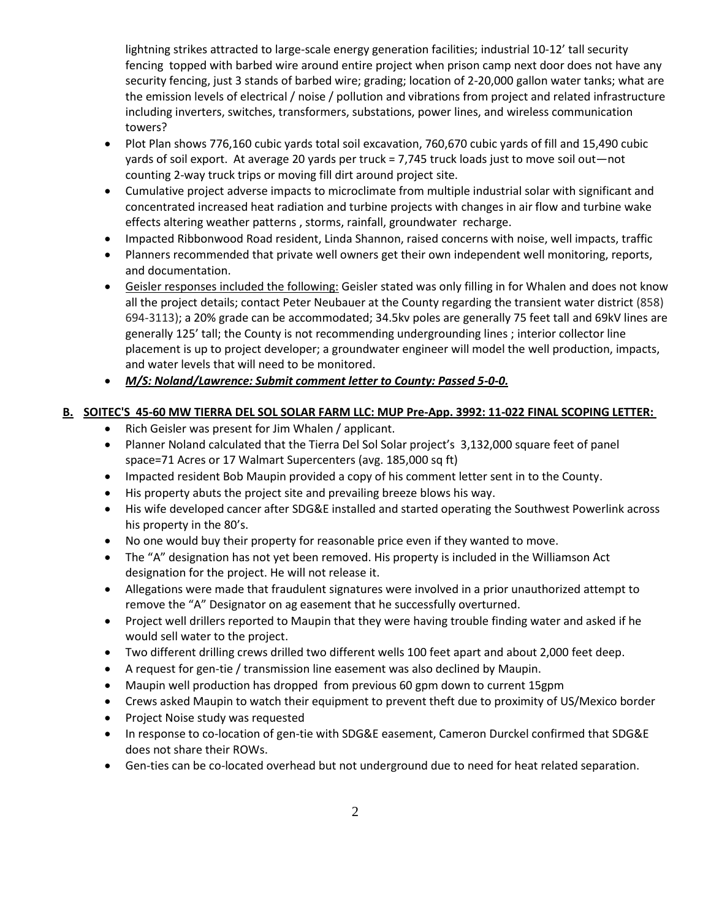lightning strikes attracted to large-scale energy generation facilities; industrial 10-12' tall security fencing topped with barbed wire around entire project when prison camp next door does not have any security fencing, just 3 stands of barbed wire; grading; location of 2-20,000 gallon water tanks; what are the emission levels of electrical / noise / pollution and vibrations from project and related infrastructure including inverters, switches, transformers, substations, power lines, and wireless communication towers?

- Plot Plan shows 776,160 cubic yards total soil excavation, 760,670 cubic yards of fill and 15,490 cubic yards of soil export. At average 20 yards per truck = 7,745 truck loads just to move soil out—not counting 2-way truck trips or moving fill dirt around project site.
- Cumulative project adverse impacts to microclimate from multiple industrial solar with significant and concentrated increased heat radiation and turbine projects with changes in air flow and turbine wake effects altering weather patterns , storms, rainfall, groundwater recharge.
- Impacted Ribbonwood Road resident, Linda Shannon, raised concerns with noise, well impacts, traffic
- Planners recommended that private well owners get their own independent well monitoring, reports, and documentation.
- Geisler responses included the following: Geisler stated was only filling in for Whalen and does not know all the project details; contact Peter Neubauer at the County regarding the transient water district (858) 694-3113); a 20% grade can be accommodated; 34.5kv poles are generally 75 feet tall and 69kV lines are generally 125' tall; the County is not recommending undergrounding lines ; interior collector line placement is up to project developer; a groundwater engineer will model the well production, impacts, and water levels that will need to be monitored.
- *M/S: Noland/Lawrence: Submit comment letter to County: Passed 5-0-0.*

## **B. SOITEC'S 45-60 MW TIERRA DEL SOL SOLAR FARM LLC: MUP Pre-App. 3992: 11-022 FINAL SCOPING LETTER:**

- Rich Geisler was present for Jim Whalen / applicant.
- Planner Noland calculated that the Tierra Del Sol Solar project's 3,132,000 square feet of panel space=71 Acres or 17 Walmart Supercenters (avg. 185,000 sq ft)
- Impacted resident Bob Maupin provided a copy of his comment letter sent in to the County.
- His property abuts the project site and prevailing breeze blows his way.
- His wife developed cancer after SDG&E installed and started operating the Southwest Powerlink across his property in the 80's.
- No one would buy their property for reasonable price even if they wanted to move.
- The "A" designation has not yet been removed. His property is included in the Williamson Act designation for the project. He will not release it.
- Allegations were made that fraudulent signatures were involved in a prior unauthorized attempt to remove the "A" Designator on ag easement that he successfully overturned.
- Project well drillers reported to Maupin that they were having trouble finding water and asked if he would sell water to the project.
- Two different drilling crews drilled two different wells 100 feet apart and about 2,000 feet deep.
- A request for gen-tie / transmission line easement was also declined by Maupin.
- Maupin well production has dropped from previous 60 gpm down to current 15gpm
- Crews asked Maupin to watch their equipment to prevent theft due to proximity of US/Mexico border
- Project Noise study was requested
- In response to co-location of gen-tie with SDG&E easement, Cameron Durckel confirmed that SDG&E does not share their ROWs.
- Gen-ties can be co-located overhead but not underground due to need for heat related separation.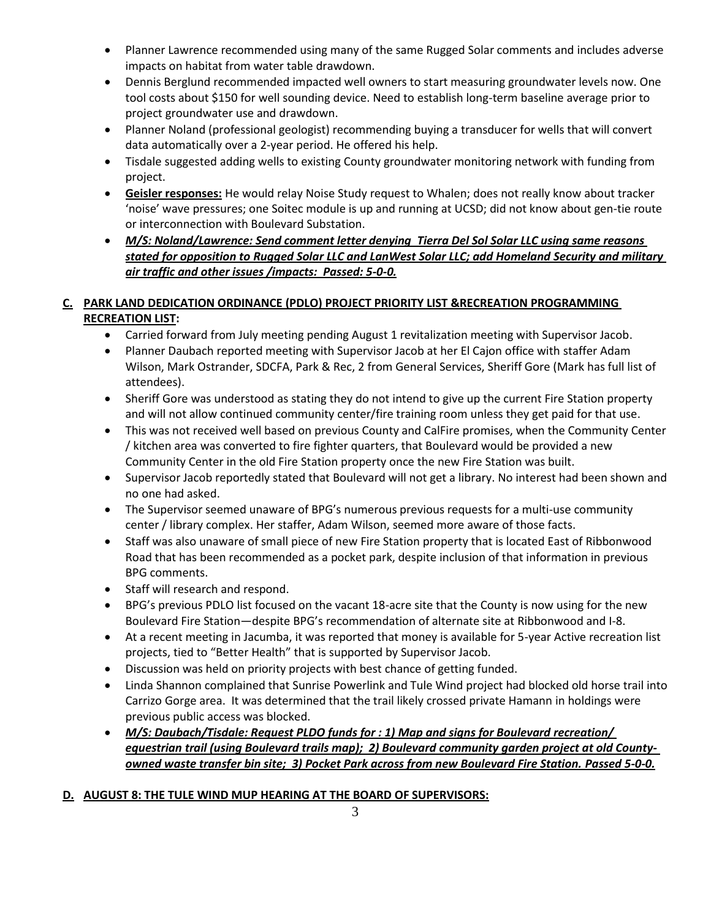- Planner Lawrence recommended using many of the same Rugged Solar comments and includes adverse impacts on habitat from water table drawdown.
- Dennis Berglund recommended impacted well owners to start measuring groundwater levels now. One tool costs about \$150 for well sounding device. Need to establish long-term baseline average prior to project groundwater use and drawdown.
- Planner Noland (professional geologist) recommending buying a transducer for wells that will convert data automatically over a 2-year period. He offered his help.
- Tisdale suggested adding wells to existing County groundwater monitoring network with funding from project.
- **Geisler responses:** He would relay Noise Study request to Whalen; does not really know about tracker 'noise' wave pressures; one Soitec module is up and running at UCSD; did not know about gen-tie route or interconnection with Boulevard Substation.
- *M/S: Noland/Lawrence: Send comment letter denying Tierra Del Sol Solar LLC using same reasons stated for opposition to Rugged Solar LLC and LanWest Solar LLC; add Homeland Security and military air traffic and other issues /impacts: Passed: 5-0-0.*

# **C. PARK LAND DEDICATION ORDINANCE (PDLO) PROJECT PRIORITY LIST &RECREATION PROGRAMMING RECREATION LIST:**

- Carried forward from July meeting pending August 1 revitalization meeting with Supervisor Jacob.
- Planner Daubach reported meeting with Supervisor Jacob at her El Cajon office with staffer Adam Wilson, Mark Ostrander, SDCFA, Park & Rec, 2 from General Services, Sheriff Gore (Mark has full list of attendees).
- Sheriff Gore was understood as stating they do not intend to give up the current Fire Station property and will not allow continued community center/fire training room unless they get paid for that use.
- This was not received well based on previous County and CalFire promises, when the Community Center / kitchen area was converted to fire fighter quarters, that Boulevard would be provided a new Community Center in the old Fire Station property once the new Fire Station was built.
- Supervisor Jacob reportedly stated that Boulevard will not get a library. No interest had been shown and no one had asked.
- The Supervisor seemed unaware of BPG's numerous previous requests for a multi-use community center / library complex. Her staffer, Adam Wilson, seemed more aware of those facts.
- Staff was also unaware of small piece of new Fire Station property that is located East of Ribbonwood Road that has been recommended as a pocket park, despite inclusion of that information in previous BPG comments.
- Staff will research and respond.
- BPG's previous PDLO list focused on the vacant 18-acre site that the County is now using for the new Boulevard Fire Station—despite BPG's recommendation of alternate site at Ribbonwood and I-8.
- At a recent meeting in Jacumba, it was reported that money is available for 5-year Active recreation list projects, tied to "Better Health" that is supported by Supervisor Jacob.
- Discussion was held on priority projects with best chance of getting funded.
- Linda Shannon complained that Sunrise Powerlink and Tule Wind project had blocked old horse trail into Carrizo Gorge area. It was determined that the trail likely crossed private Hamann in holdings were previous public access was blocked.
- *M/S: Daubach/Tisdale: Request PLDO funds for : 1) Map and signs for Boulevard recreation/ equestrian trail (using Boulevard trails map); 2) Boulevard community garden project at old Countyowned waste transfer bin site; 3) Pocket Park across from new Boulevard Fire Station. Passed 5-0-0.*

# **D. AUGUST 8: THE TULE WIND MUP HEARING AT THE BOARD OF SUPERVISORS:**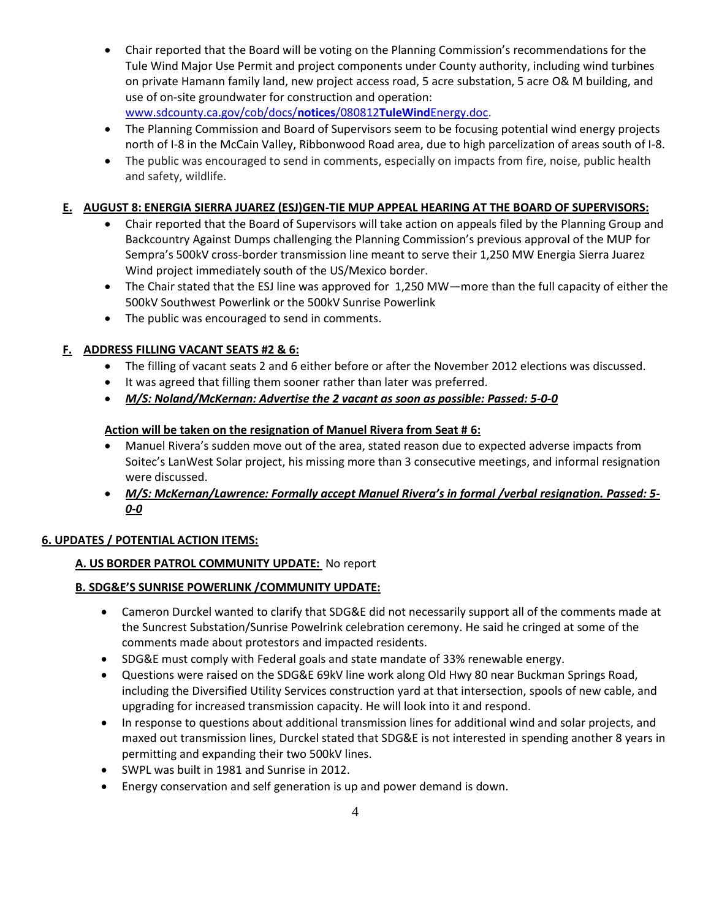- Chair reported that the Board will be voting on the Planning Commission's recommendations for the Tule Wind Major Use Permit and project components under County authority, including wind turbines on private Hamann family land, new project access road, 5 acre substation, 5 acre O& M building, and use of on-site groundwater for construction and operation: [www.sdcounty.ca.gov/cob/docs/](http://www.sdcounty.ca.gov/cob/docs/notices/080812TuleWindEnergy.doc)**notices**/080812**TuleWind**Energy.doc.
- The Planning Commission and Board of Supervisors seem to be focusing potential wind energy projects north of I-8 in the McCain Valley, Ribbonwood Road area, due to high parcelization of areas south of I-8.
- The public was encouraged to send in comments, especially on impacts from fire, noise, public health and safety, wildlife.

# **E. AUGUST 8: ENERGIA SIERRA JUAREZ (ESJ)GEN-TIE MUP APPEAL HEARING AT THE BOARD OF SUPERVISORS:**

- Chair reported that the Board of Supervisors will take action on appeals filed by the Planning Group and Backcountry Against Dumps challenging the Planning Commission's previous approval of the MUP for Sempra's 500kV cross-border transmission line meant to serve their 1,250 MW Energia Sierra Juarez Wind project immediately south of the US/Mexico border.
- The Chair stated that the ESJ line was approved for 1,250 MW—more than the full capacity of either the 500kV Southwest Powerlink or the 500kV Sunrise Powerlink
- The public was encouraged to send in comments.

# **F. ADDRESS FILLING VACANT SEATS #2 & 6:**

- The filling of vacant seats 2 and 6 either before or after the November 2012 elections was discussed.
- It was agreed that filling them sooner rather than later was preferred.
- *M/S: Noland/McKernan: Advertise the 2 vacant as soon as possible: Passed: 5-0-0*

## **Action will be taken on the resignation of Manuel Rivera from Seat # 6:**

- Manuel Rivera's sudden move out of the area, stated reason due to expected adverse impacts from Soitec's LanWest Solar project, his missing more than 3 consecutive meetings, and informal resignation were discussed.
- *M/S: McKernan/Lawrence: Formally accept Manuel Rivera's in formal /verbal resignation. Passed: 5- 0-0*

## **6. UPDATES / POTENTIAL ACTION ITEMS:**

## **A. US BORDER PATROL COMMUNITY UPDATE:** No report

## **B. SDG&E'S SUNRISE POWERLINK /COMMUNITY UPDATE:**

- Cameron Durckel wanted to clarify that SDG&E did not necessarily support all of the comments made at the Suncrest Substation/Sunrise Powelrink celebration ceremony. He said he cringed at some of the comments made about protestors and impacted residents.
- SDG&E must comply with Federal goals and state mandate of 33% renewable energy.
- Questions were raised on the SDG&E 69kV line work along Old Hwy 80 near Buckman Springs Road, including the Diversified Utility Services construction yard at that intersection, spools of new cable, and upgrading for increased transmission capacity. He will look into it and respond.
- In response to questions about additional transmission lines for additional wind and solar projects, and maxed out transmission lines, Durckel stated that SDG&E is not interested in spending another 8 years in permitting and expanding their two 500kV lines.
- SWPL was built in 1981 and Sunrise in 2012.
- Energy conservation and self generation is up and power demand is down.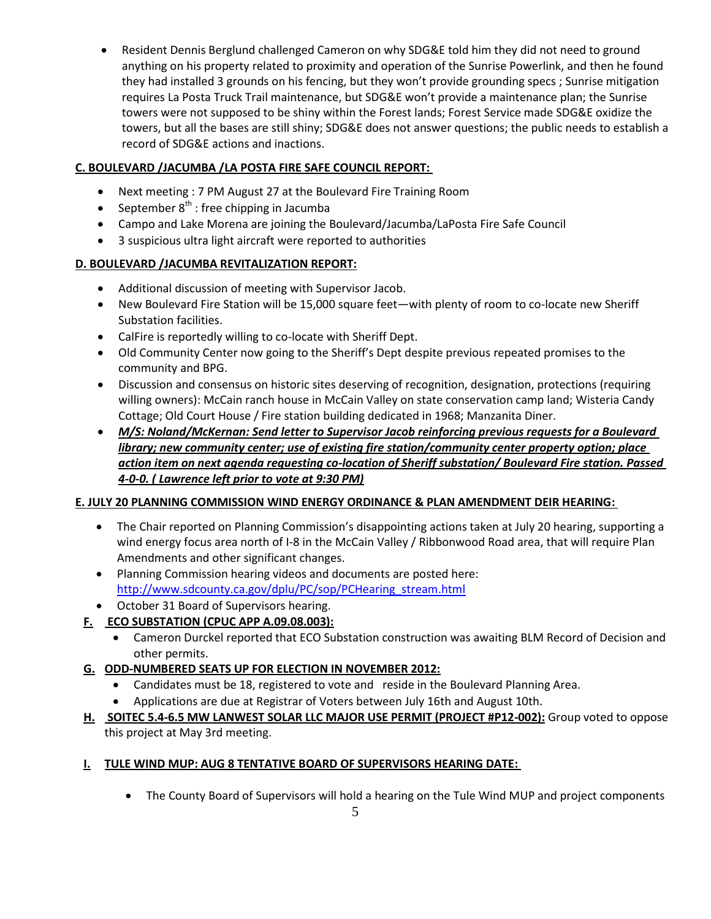Resident Dennis Berglund challenged Cameron on why SDG&E told him they did not need to ground anything on his property related to proximity and operation of the Sunrise Powerlink, and then he found they had installed 3 grounds on his fencing, but they won't provide grounding specs ; Sunrise mitigation requires La Posta Truck Trail maintenance, but SDG&E won't provide a maintenance plan; the Sunrise towers were not supposed to be shiny within the Forest lands; Forest Service made SDG&E oxidize the towers, but all the bases are still shiny; SDG&E does not answer questions; the public needs to establish a record of SDG&E actions and inactions.

# **C. BOULEVARD /JACUMBA /LA POSTA FIRE SAFE COUNCIL REPORT:**

- Next meeting : 7 PM August 27 at the Boulevard Fire Training Room
- **•** September  $8<sup>th</sup>$ : free chipping in Jacumba
- Campo and Lake Morena are joining the Boulevard/Jacumba/LaPosta Fire Safe Council
- 3 suspicious ultra light aircraft were reported to authorities

# **D. BOULEVARD /JACUMBA REVITALIZATION REPORT:**

- Additional discussion of meeting with Supervisor Jacob.
- New Boulevard Fire Station will be 15,000 square feet—with plenty of room to co-locate new Sheriff Substation facilities.
- CalFire is reportedly willing to co-locate with Sheriff Dept.
- Old Community Center now going to the Sheriff's Dept despite previous repeated promises to the community and BPG.
- Discussion and consensus on historic sites deserving of recognition, designation, protections (requiring willing owners): McCain ranch house in McCain Valley on state conservation camp land; Wisteria Candy Cottage; Old Court House / Fire station building dedicated in 1968; Manzanita Diner.
- *M/S: Noland/McKernan: Send letter to Supervisor Jacob reinforcing previous requests for a Boulevard library; new community center; use of existing fire station/community center property option; place action item on next agenda requesting co-location of Sheriff substation/ Boulevard Fire station. Passed 4-0-0. ( Lawrence left prior to vote at 9:30 PM)*

# **E. JULY 20 PLANNING COMMISSION WIND ENERGY ORDINANCE & PLAN AMENDMENT DEIR HEARING:**

- The Chair reported on Planning Commission's disappointing actions taken at July 20 hearing, supporting a wind energy focus area north of I-8 in the McCain Valley / Ribbonwood Road area, that will require Plan Amendments and other significant changes.
- Planning Commission hearing videos and documents are posted here: [http://www.sdcounty.ca.gov/dplu/PC/sop/PCHearing\\_stream.html](http://www.sdcounty.ca.gov/dplu/PC/sop/PCHearing_stream.html)
- October 31 Board of Supervisors hearing.
- **F. ECO SUBSTATION (CPUC APP A.09.08.003):**
	- Cameron Durckel reported that ECO Substation construction was awaiting BLM Record of Decision and other permits.
- **G. ODD-NUMBERED SEATS UP FOR ELECTION IN NOVEMBER 2012:**
	- Candidates must be 18, registered to vote and reside in the Boulevard Planning Area.
	- Applications are due at Registrar of Voters between July 16th and August 10th.
- **H. SOITEC 5.4-6.5 MW LANWEST SOLAR LLC MAJOR USE PERMIT (PROJECT #P12-002):** Group voted to oppose this project at May 3rd meeting.

# **I. TULE WIND MUP: AUG 8 TENTATIVE BOARD OF SUPERVISORS HEARING DATE:**

The County Board of Supervisors will hold a hearing on the Tule Wind MUP and project components